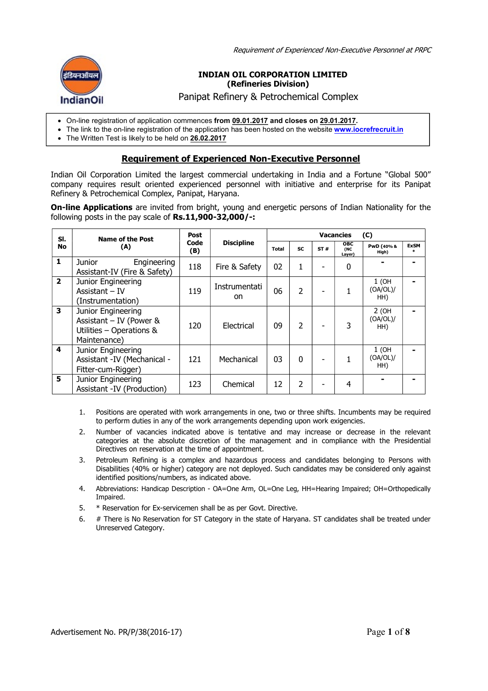Requirement of Experienced Non-Executive Personnel at PRPC



#### INDIAN OIL CORPORATION LIMITED (Refineries Division)

Panipat Refinery & Petrochemical Complex

- On-line registration of application commences from 09.01.2017 and closes on 29.01.2017.
- The link to the on-line registration of the application has been hosted on the website www.iocrefrecruit.in
- The Written Test is likely to be held on **26.02.2017**

# Requirement of Experienced Non-Executive Personnel

Indian Oil Corporation Limited the largest commercial undertaking in India and a Fortune "Global 500" company requires result oriented experienced personnel with initiative and enterprise for its Panipat Refinery & Petrochemical Complex, Panipat, Haryana.

On-line Applications are invited from bright, young and energetic persons of Indian Nationality for the following posts in the pay scale of Rs.11,900-32,000/-:

| SI.            | <b>Name of the Post</b>                                                                     | <b>Post</b><br>Code<br>(B) | <b>Discipline</b>   | <b>Vacancies</b><br>(C) |                |     |                             |                            |                  |
|----------------|---------------------------------------------------------------------------------------------|----------------------------|---------------------|-------------------------|----------------|-----|-----------------------------|----------------------------|------------------|
| <b>No</b>      | (A)                                                                                         |                            |                     | <b>Total</b>            | <b>SC</b>      | ST# | <b>OBC</b><br>(NC<br>Layer) | PwD (40% &<br>High)        | <b>ExSM</b><br>* |
| $\mathbf{1}$   | Engineering<br>Junior<br>Assistant-IV (Fire & Safety)                                       | 118                        | Fire & Safety       | 02                      | 1              |     | 0                           |                            |                  |
| $\overline{2}$ | Junior Engineering<br>Assistant $-IV$<br>(Instrumentation)                                  | 119                        | Instrumentati<br>on | 06                      | $\overline{2}$ |     |                             | $1$ (OH<br>(OA/OL)/<br>HH) |                  |
| 3              | Junior Engineering<br>Assistant $-$ IV (Power &<br>Utilities - Operations &<br>Maintenance) | 120                        | Electrical          | 09                      | 2              |     | 3                           | 2(OH)<br>(OA/OL)/<br>HH)   |                  |
| 4              | Junior Engineering<br>Assistant - IV (Mechanical -<br>Fitter-cum-Rigger)                    | 121                        | Mechanical          | 03                      | $\Omega$       |     |                             | $1$ (OH<br>(OA/OL)/<br>HH) |                  |
| 5              | Junior Engineering<br>Assistant -IV (Production)                                            | 123                        | Chemical            | 12                      | 2              |     | 4                           |                            |                  |

- 1. Positions are operated with work arrangements in one, two or three shifts. Incumbents may be required to perform duties in any of the work arrangements depending upon work exigencies.
- 2. Number of vacancies indicated above is tentative and may increase or decrease in the relevant categories at the absolute discretion of the management and in compliance with the Presidential Directives on reservation at the time of appointment.
- 3. Petroleum Refining is a complex and hazardous process and candidates belonging to Persons with Disabilities (40% or higher) category are not deployed. Such candidates may be considered only against identified positions/numbers, as indicated above.
- 4. Abbreviations: Handicap Description OA=One Arm, OL=One Leg, HH=Hearing Impaired; OH=Orthopedically Impaired.
- 5. \* Reservation for Ex-servicemen shall be as per Govt. Directive.
- 6. # There is No Reservation for ST Category in the state of Haryana. ST candidates shall be treated under Unreserved Category.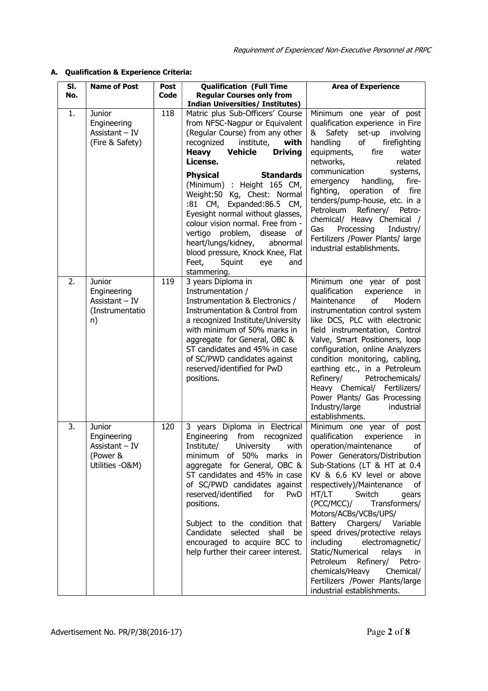# A. Qualification & Experience Criteria:

| SI.<br>No. | <b>Name of Post</b>                                                     | Post<br><b>Code</b> | <b>Qualification (Full Time</b><br><b>Regular Courses only from</b>                                                                                                                                                                                                                                                                                                                                                                                                                                                                                                                                         | <b>Area of Experience</b>                                                                                                                                                                                                                                                                                                                                                                                                                                                                                                                                                                        |  |  |
|------------|-------------------------------------------------------------------------|---------------------|-------------------------------------------------------------------------------------------------------------------------------------------------------------------------------------------------------------------------------------------------------------------------------------------------------------------------------------------------------------------------------------------------------------------------------------------------------------------------------------------------------------------------------------------------------------------------------------------------------------|--------------------------------------------------------------------------------------------------------------------------------------------------------------------------------------------------------------------------------------------------------------------------------------------------------------------------------------------------------------------------------------------------------------------------------------------------------------------------------------------------------------------------------------------------------------------------------------------------|--|--|
| 1.         | 118<br>Junior<br>Engineering<br>Assistant - IV<br>(Fire & Safety)       |                     | <b>Indian Universities/ Institutes)</b><br>Matric plus Sub-Officers' Course<br>from NFSC-Nagpur or Equivalent<br>(Regular Course) from any other<br>institute,<br>recognized<br>with<br><b>Vehicle</b><br><b>Driving</b><br><b>Heavy</b><br>License.<br><b>Standards</b><br><b>Physical</b><br>(Minimum) : Height 165 CM,<br>Weight:50 Kg, Chest: Normal<br>:81 CM, Expanded:86.5 CM,<br>Eyesight normal without glasses,<br>colour vision normal. Free from -<br>vertigo problem,<br>disease<br>0f<br>heart/lungs/kidney,<br>abnormal<br>blood pressure, Knock Knee, Flat<br>Feet,<br>Squint<br>eye<br>and | Minimum one year of post<br>qualification experience in Fire<br>& Safety<br>set-up involving<br>handling<br>of<br>firefighting<br>equipments,<br>fire<br>water<br>related<br>networks,<br>communication<br>systems,<br>handling,<br>fire-<br>emergency<br>fighting,<br>operation of<br>fire<br>tenders/pump-house, etc. in a<br>Petroleum<br>Refinery/ Petro-<br>chemical/ Heavy Chemical /<br>Processing<br>Gas<br>Industry/<br>Fertilizers /Power Plants/ large<br>industrial establishments.                                                                                                  |  |  |
| 2.         | Junior<br>Engineering<br>Assistant - IV<br>(Instrumentatio<br>n)        | 119                 | stammering.<br>3 years Diploma in<br>Instrumentation /<br>Instrumentation & Electronics /<br>Instrumentation & Control from<br>a recognized Institute/University<br>with minimum of 50% marks in<br>aggregate for General, OBC &<br>ST candidates and 45% in case<br>of SC/PWD candidates against<br>reserved/identified for PwD<br>positions.                                                                                                                                                                                                                                                              | Minimum one year of post<br>qualification<br>experience<br>in<br>Maintenance<br>οf<br>Modern<br>instrumentation control system<br>like DCS, PLC with electronic<br>field instrumentation, Control<br>Valve, Smart Positioners, loop<br>configuration, online Analyzers<br>condition monitoring, cabling,<br>earthing etc., in a Petroleum<br>Refinery/<br>Petrochemicals/<br>Heavy Chemical/ Fertilizers/<br>Power Plants/ Gas Processing<br>Industry/large<br>industrial<br>establishments.                                                                                                     |  |  |
| 3.         | Junior<br>Engineering<br>Assistant – IV<br>(Power &<br>Utilities - O&M) | 120                 | 3 years Diploma in Electrical<br>Engineering from recognized<br>Institute/ University with<br>minimum of 50% marks in<br>aggregate for General, OBC &<br>ST candidates and 45% in case<br>of SC/PWD candidates against<br>reserved/identified for<br>PwD<br>positions.<br>Subject to the condition that<br>Candidate selected shall<br>be<br>encouraged to acquire BCC to<br>help further their career interest.                                                                                                                                                                                            | Minimum one year of post<br>qualification<br>experience<br>in<br>operation/maintenance of<br>Power Generators/Distribution<br>Sub-Stations (LT & HT at 0.4<br>KV & 6.6 KV level or above<br>respectively)/Maintenance<br>0f<br>HT/LT<br>Switch<br>gears<br>(PCC/MCC)<br>Transformers/<br>Motors/ACBs/VCBs/UPS/<br>Battery Chargers/ Variable<br>speed drives/protective relays<br>including<br>electromagnetic/<br>Static/Numerical<br>relays<br><sub>in</sub><br>Petroleum<br>Refinery/ Petro-<br>chemicals/Heavy<br>Chemical/<br>Fertilizers /Power Plants/large<br>industrial establishments. |  |  |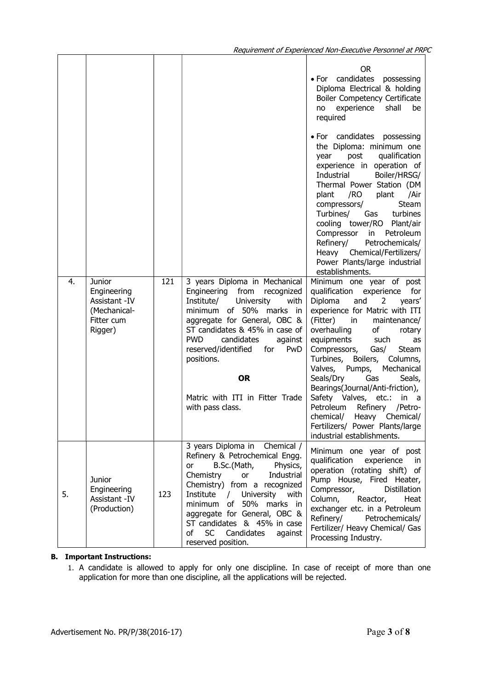|    |                                                                                  |     |                                                                                                                                                                                                                                                                                                                                                                          | OR.<br>· For candidates possessing<br>Diploma Electrical & holding<br>Boiler Competency Certificate<br>experience<br>shall<br>be<br>no<br>required                                                                                                                                                                                                                                                                                                                                                                                                                                                      |
|----|----------------------------------------------------------------------------------|-----|--------------------------------------------------------------------------------------------------------------------------------------------------------------------------------------------------------------------------------------------------------------------------------------------------------------------------------------------------------------------------|---------------------------------------------------------------------------------------------------------------------------------------------------------------------------------------------------------------------------------------------------------------------------------------------------------------------------------------------------------------------------------------------------------------------------------------------------------------------------------------------------------------------------------------------------------------------------------------------------------|
|    |                                                                                  |     |                                                                                                                                                                                                                                                                                                                                                                          | • For candidates possessing<br>the Diploma: minimum one<br>post<br>qualification<br>year<br>experience in operation of<br>Industrial<br>Boiler/HRSG/<br>Thermal Power Station (DM<br>/Air<br>/RO<br>plant<br>plant<br>Steam<br>compressors/<br>Turbines/<br>Gas<br>turbines<br>cooling tower/RO Plant/air<br>Compressor<br>Petroleum<br>in<br>Refinery/<br>Petrochemicals/<br>Heavy Chemical/Fertilizers/<br>Power Plants/large industrial<br>establishments.                                                                                                                                           |
| 4. | Junior<br>Engineering<br>Assistant - IV<br>(Mechanical-<br>Fitter cum<br>Rigger) | 121 | 3 years Diploma in Mechanical<br>Engineering from<br>recognized<br>Institute/<br>University<br>with<br>of 50% marks in<br>minimum<br>aggregate for General, OBC &<br>ST candidates & 45% in case of<br><b>PWD</b><br>candidates<br>against<br>reserved/identified<br>for<br><b>PwD</b><br>positions.<br><b>OR</b><br>Matric with ITI in Fitter Trade<br>with pass class. | Minimum one year of post<br>qualification<br>experience<br>for<br>Diploma<br>and<br>years'<br>$\overline{2}$<br>experience for Matric with ITI<br>(Fitter)<br>in<br>maintenance/<br>overhauling<br>of<br>rotary<br>equipments<br>such<br>as<br>Compressors,<br>Gas/<br>Steam<br>Turbines,<br>Boilers,<br>Columns,<br>Mechanical<br>Valves,<br>Pumps,<br>Seals/Dry<br>Gas<br>Seals,<br>Bearings(Journal/Anti-friction),<br>Safety Valves, etc.:<br>in<br>a a<br><b>Petroleum</b><br>Refinery<br>/Petro-<br>chemical/<br>Heavy Chemical/<br>Fertilizers/ Power Plants/large<br>industrial establishments. |
| 5. | Junior<br>Engineering<br>Assistant - IV<br>(Production)                          | 123 | 3 years Diploma in<br>Chemical /<br>Refinery & Petrochemical Engg.<br>B.Sc.(Math,<br>Physics,<br>or<br>Chemistry<br>Industrial<br>or<br>Chemistry) from a recognized<br>Institute / University with<br>of 50% marks in<br>minimum<br>aggregate for General, OBC &<br>ST candidates & 45% in case<br>of<br>SC<br>Candidates<br>against<br>reserved position.              | Minimum one year of post<br>qualification<br>experience<br>in.<br>operation (rotating shift) of<br>Pump House, Fired Heater,<br>Compressor,<br>Distillation<br>Reactor,<br>Column,<br>Heat<br>exchanger etc. in a Petroleum<br>Refinery/ Petrochemicals/<br>Fertilizer/ Heavy Chemical/ Gas<br>Processing Industry.                                                                                                                                                                                                                                                                                     |

# B. Important Instructions:

1. A candidate is allowed to apply for only one discipline. In case of receipt of more than one application for more than one discipline, all the applications will be rejected.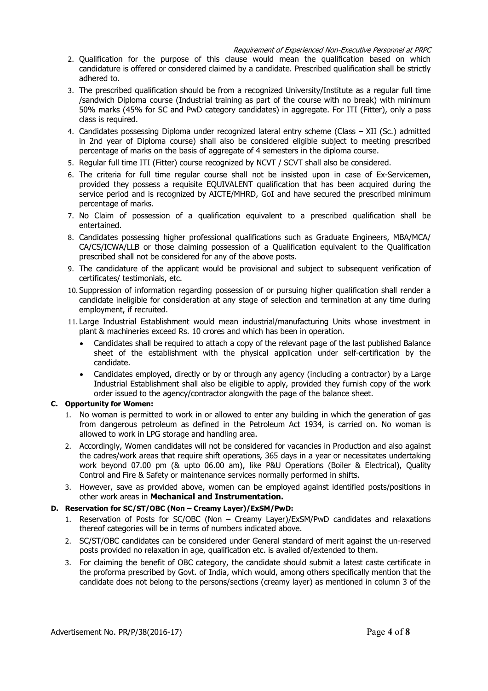Requirement of Experienced Non-Executive Personnel at PRPC

- 2. Qualification for the purpose of this clause would mean the qualification based on which candidature is offered or considered claimed by a candidate. Prescribed qualification shall be strictly adhered to.
- 3. The prescribed qualification should be from a recognized University/Institute as a regular full time /sandwich Diploma course (Industrial training as part of the course with no break) with minimum 50% marks (45% for SC and PwD category candidates) in aggregate. For ITI (Fitter), only a pass class is required.
- 4. Candidates possessing Diploma under recognized lateral entry scheme (Class XII (Sc.) admitted in 2nd year of Diploma course) shall also be considered eligible subject to meeting prescribed percentage of marks on the basis of aggregate of 4 semesters in the diploma course.
- 5. Regular full time ITI (Fitter) course recognized by NCVT / SCVT shall also be considered.
- 6. The criteria for full time regular course shall not be insisted upon in case of Ex-Servicemen, provided they possess a requisite EQUIVALENT qualification that has been acquired during the service period and is recognized by AICTE/MHRD, GoI and have secured the prescribed minimum percentage of marks.
- 7. No Claim of possession of a qualification equivalent to a prescribed qualification shall be entertained.
- 8. Candidates possessing higher professional qualifications such as Graduate Engineers, MBA/MCA/ CA/CS/ICWA/LLB or those claiming possession of a Qualification equivalent to the Qualification prescribed shall not be considered for any of the above posts.
- 9. The candidature of the applicant would be provisional and subject to subsequent verification of certificates/ testimonials, etc.
- 10. Suppression of information regarding possession of or pursuing higher qualification shall render a candidate ineligible for consideration at any stage of selection and termination at any time during employment, if recruited.
- 11. Large Industrial Establishment would mean industrial/manufacturing Units whose investment in plant & machineries exceed Rs. 10 crores and which has been in operation.
	- Candidates shall be required to attach a copy of the relevant page of the last published Balance sheet of the establishment with the physical application under self-certification by the candidate.
	- Candidates employed, directly or by or through any agency (including a contractor) by a Large Industrial Establishment shall also be eligible to apply, provided they furnish copy of the work order issued to the agency/contractor alongwith the page of the balance sheet.

# C. Opportunity for Women:

- 1. No woman is permitted to work in or allowed to enter any building in which the generation of gas from dangerous petroleum as defined in the Petroleum Act 1934, is carried on. No woman is allowed to work in LPG storage and handling area.
- 2. Accordingly, Women candidates will not be considered for vacancies in Production and also against the cadres/work areas that require shift operations, 365 days in a year or necessitates undertaking work beyond 07.00 pm (& upto 06.00 am), like P&U Operations (Boiler & Electrical), Quality Control and Fire & Safety or maintenance services normally performed in shifts.
- 3. However, save as provided above, women can be employed against identified posts/positions in other work areas in Mechanical and Instrumentation.

# D. Reservation for SC/ST/OBC (Non – Creamy Layer)/ExSM/PwD:

- 1. Reservation of Posts for SC/OBC (Non Creamy Layer)/ExSM/PwD candidates and relaxations thereof categories will be in terms of numbers indicated above.
- 2. SC/ST/OBC candidates can be considered under General standard of merit against the un-reserved posts provided no relaxation in age, qualification etc. is availed of/extended to them.
- 3. For claiming the benefit of OBC category, the candidate should submit a latest caste certificate in the proforma prescribed by Govt. of India, which would, among others specifically mention that the candidate does not belong to the persons/sections (creamy layer) as mentioned in column 3 of the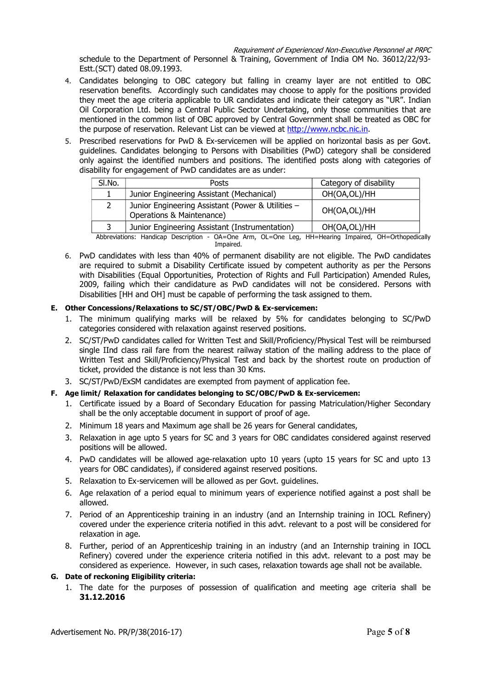Requirement of Experienced Non-Executive Personnel at PRPC

schedule to the Department of Personnel & Training, Government of India OM No. 36012/22/93- Estt.(SCT) dated 08.09.1993.

- 4. Candidates belonging to OBC category but falling in creamy layer are not entitled to OBC reservation benefits. Accordingly such candidates may choose to apply for the positions provided they meet the age criteria applicable to UR candidates and indicate their category as "UR". Indian Oil Corporation Ltd. being a Central Public Sector Undertaking, only those communities that are mentioned in the common list of OBC approved by Central Government shall be treated as OBC for the purpose of reservation. Relevant List can be viewed at http://www.ncbc.nic.in.
- 5. Prescribed reservations for PwD & Ex-servicemen will be applied on horizontal basis as per Govt. guidelines. Candidates belonging to Persons with Disabilities (PwD) category shall be considered only against the identified numbers and positions. The identified posts along with categories of disability for engagement of PwD candidates are as under:

| SI.No. | Posts                                                                          | Category of disability |
|--------|--------------------------------------------------------------------------------|------------------------|
|        | Junior Engineering Assistant (Mechanical)                                      | OH(OA,OL)/HH           |
|        | Junior Engineering Assistant (Power & Utilities -<br>Operations & Maintenance) | OH(OA,OL)/HH           |
|        | Junior Engineering Assistant (Instrumentation)                                 | OH(OA,OL)/HH           |

Abbreviations: Handicap Description - OA=One Arm, OL=One Leg, HH=Hearing Impaired, OH=Orthopedically Impaired.

6. PwD candidates with less than 40% of permanent disability are not eligible. The PwD candidates are required to submit a Disability Certificate issued by competent authority as per the Persons with Disabilities (Equal Opportunities, Protection of Rights and Full Participation) Amended Rules, 2009, failing which their candidature as PwD candidates will not be considered. Persons with Disabilities [HH and OH] must be capable of performing the task assigned to them.

# E. Other Concessions/Relaxations to SC/ST/OBC/PwD & Ex-servicemen:

- 1. The minimum qualifying marks will be relaxed by 5% for candidates belonging to SC/PwD categories considered with relaxation against reserved positions.
- 2. SC/ST/PwD candidates called for Written Test and Skill/Proficiency/Physical Test will be reimbursed single IInd class rail fare from the nearest railway station of the mailing address to the place of Written Test and Skill/Proficiency/Physical Test and back by the shortest route on production of ticket, provided the distance is not less than 30 Kms.
- 3. SC/ST/PwD/ExSM candidates are exempted from payment of application fee.

# F. Age limit/ Relaxation for candidates belonging to SC/OBC/PwD & Ex-servicemen:

- 1. Certificate issued by a Board of Secondary Education for passing Matriculation/Higher Secondary shall be the only acceptable document in support of proof of age.
- 2. Minimum 18 years and Maximum age shall be 26 years for General candidates,
- 3. Relaxation in age upto 5 years for SC and 3 years for OBC candidates considered against reserved positions will be allowed.
- 4. PwD candidates will be allowed age-relaxation upto 10 years (upto 15 years for SC and upto 13 years for OBC candidates), if considered against reserved positions.
- 5. Relaxation to Ex-servicemen will be allowed as per Govt. guidelines.
- 6. Age relaxation of a period equal to minimum years of experience notified against a post shall be allowed.
- 7. Period of an Apprenticeship training in an industry (and an Internship training in IOCL Refinery) covered under the experience criteria notified in this advt. relevant to a post will be considered for relaxation in age.
- 8. Further, period of an Apprenticeship training in an industry (and an Internship training in IOCL Refinery) covered under the experience criteria notified in this advt. relevant to a post may be considered as experience. However, in such cases, relaxation towards age shall not be available.

#### G. Date of reckoning Eligibility criteria:

1. The date for the purposes of possession of qualification and meeting age criteria shall be 31.12.2016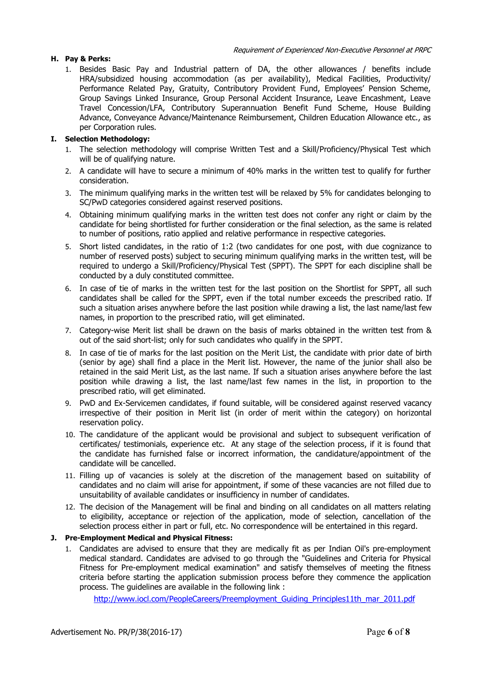1. Besides Basic Pay and Industrial pattern of DA, the other allowances / benefits include HRA/subsidized housing accommodation (as per availability), Medical Facilities, Productivity/ Performance Related Pay, Gratuity, Contributory Provident Fund, Employees' Pension Scheme, Group Savings Linked Insurance, Group Personal Accident Insurance, Leave Encashment, Leave Travel Concession/LFA, Contributory Superannuation Benefit Fund Scheme, House Building Advance, Conveyance Advance/Maintenance Reimbursement, Children Education Allowance etc., as per Corporation rules.

#### I. Selection Methodology:

- 1. The selection methodology will comprise Written Test and a Skill/Proficiency/Physical Test which will be of qualifying nature.
- 2. A candidate will have to secure a minimum of 40% marks in the written test to qualify for further consideration.
- 3. The minimum qualifying marks in the written test will be relaxed by 5% for candidates belonging to SC/PwD categories considered against reserved positions.
- 4. Obtaining minimum qualifying marks in the written test does not confer any right or claim by the candidate for being shortlisted for further consideration or the final selection, as the same is related to number of positions, ratio applied and relative performance in respective categories.
- 5. Short listed candidates, in the ratio of 1:2 (two candidates for one post, with due cognizance to number of reserved posts) subject to securing minimum qualifying marks in the written test, will be required to undergo a Skill/Proficiency/Physical Test (SPPT). The SPPT for each discipline shall be conducted by a duly constituted committee.
- 6. In case of tie of marks in the written test for the last position on the Shortlist for SPPT, all such candidates shall be called for the SPPT, even if the total number exceeds the prescribed ratio. If such a situation arises anywhere before the last position while drawing a list, the last name/last few names, in proportion to the prescribed ratio, will get eliminated.
- 7. Category-wise Merit list shall be drawn on the basis of marks obtained in the written test from & out of the said short-list; only for such candidates who qualify in the SPPT.
- 8. In case of tie of marks for the last position on the Merit List, the candidate with prior date of birth (senior by age) shall find a place in the Merit list. However, the name of the junior shall also be retained in the said Merit List, as the last name. If such a situation arises anywhere before the last position while drawing a list, the last name/last few names in the list, in proportion to the prescribed ratio, will get eliminated.
- 9. PwD and Ex-Servicemen candidates, if found suitable, will be considered against reserved vacancy irrespective of their position in Merit list (in order of merit within the category) on horizontal reservation policy.
- 10. The candidature of the applicant would be provisional and subject to subsequent verification of certificates/ testimonials, experience etc. At any stage of the selection process, if it is found that the candidate has furnished false or incorrect information, the candidature/appointment of the candidate will be cancelled.
- 11. Filling up of vacancies is solely at the discretion of the management based on suitability of candidates and no claim will arise for appointment, if some of these vacancies are not filled due to unsuitability of available candidates or insufficiency in number of candidates.
- 12. The decision of the Management will be final and binding on all candidates on all matters relating to eligibility, acceptance or rejection of the application, mode of selection, cancellation of the selection process either in part or full, etc. No correspondence will be entertained in this regard.

# J. Pre-Employment Medical and Physical Fitness:

1. Candidates are advised to ensure that they are medically fit as per Indian Oil's pre-employment medical standard. Candidates are advised to go through the "Guidelines and Criteria for Physical Fitness for Pre-employment medical examination" and satisfy themselves of meeting the fitness criteria before starting the application submission process before they commence the application process. The guidelines are available in the following link :

http://www.jocl.com/PeopleCareers/Preemployment\_Guiding\_Principles11th\_mar\_2011.pdf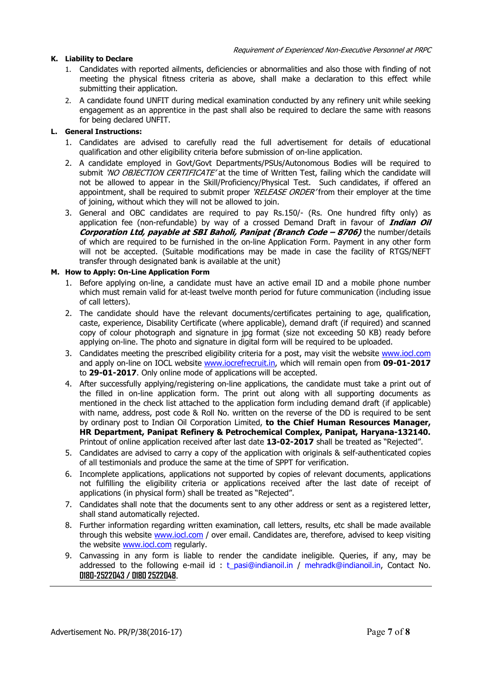# K. Liability to Declare

- 1. Candidates with reported ailments, deficiencies or abnormalities and also those with finding of not meeting the physical fitness criteria as above, shall make a declaration to this effect while submitting their application.
- 2. A candidate found UNFIT during medical examination conducted by any refinery unit while seeking engagement as an apprentice in the past shall also be required to declare the same with reasons for being declared UNFIT.

#### L. General Instructions:

- 1. Candidates are advised to carefully read the full advertisement for details of educational qualification and other eligibility criteria before submission of on-line application.
- 2. A candidate employed in Govt/Govt Departments/PSUs/Autonomous Bodies will be required to submit 'NO OBJECTION CERTIFICATE' at the time of Written Test, failing which the candidate will not be allowed to appear in the Skill/Proficiency/Physical Test. Such candidates, if offered an appointment, shall be required to submit proper 'RELEASE ORDER' from their employer at the time of joining, without which they will not be allowed to join.
- 3. General and OBC candidates are required to pay Rs.150/- (Rs. One hundred fifty only) as application fee (non-refundable) by way of a crossed Demand Draft in favour of *Indian Oil* Corporation Ltd, payable at SBI Baholi, Panipat (Branch Code – 8706) the number/details of which are required to be furnished in the on-line Application Form. Payment in any other form will not be accepted. (Suitable modifications may be made in case the facility of RTGS/NEFT transfer through designated bank is available at the unit)

#### M. How to Apply: On-Line Application Form

- 1. Before applying on-line, a candidate must have an active email ID and a mobile phone number which must remain valid for at-least twelve month period for future communication (including issue of call letters).
- 2. The candidate should have the relevant documents/certificates pertaining to age, qualification, caste, experience, Disability Certificate (where applicable), demand draft (if required) and scanned copy of colour photograph and signature in jpg format (size not exceeding 50 KB) ready before applying on-line. The photo and signature in digital form will be required to be uploaded.
- 3. Candidates meeting the prescribed eligibility criteria for a post, may visit the website www.iocl.com and apply on-line on IOCL website **www.iocrefrecruit.in**, which will remain open from 09-01-2017 to 29-01-2017. Only online mode of applications will be accepted.
- 4. After successfully applying/registering on-line applications, the candidate must take a print out of the filled in on-line application form. The print out along with all supporting documents as mentioned in the check list attached to the application form including demand draft (if applicable) with name, address, post code & Roll No. written on the reverse of the DD is required to be sent by ordinary post to Indian Oil Corporation Limited, to the Chief Human Resources Manager, HR Department, Panipat Refinery & Petrochemical Complex, Panipat, Haryana-132140. Printout of online application received after last date 13-02-2017 shall be treated as "Rejected".
- 5. Candidates are advised to carry a copy of the application with originals & self-authenticated copies of all testimonials and produce the same at the time of SPPT for verification.
- 6. Incomplete applications, applications not supported by copies of relevant documents, applications not fulfilling the eligibility criteria or applications received after the last date of receipt of applications (in physical form) shall be treated as "Rejected".
- 7. Candidates shall note that the documents sent to any other address or sent as a registered letter, shall stand automatically rejected.
- 8. Further information regarding written examination, call letters, results, etc shall be made available through this website www.iocl.com / over email. Candidates are, therefore, advised to keep visiting the website www.iocl.com regularly.
- 9. Canvassing in any form is liable to render the candidate ineligible. Queries, if any, may be addressed to the following e-mail id : t\_pasi@indianoil.in / mehradk@indianoil.in, Contact No. 0180-2522043 / 0180 2522048.